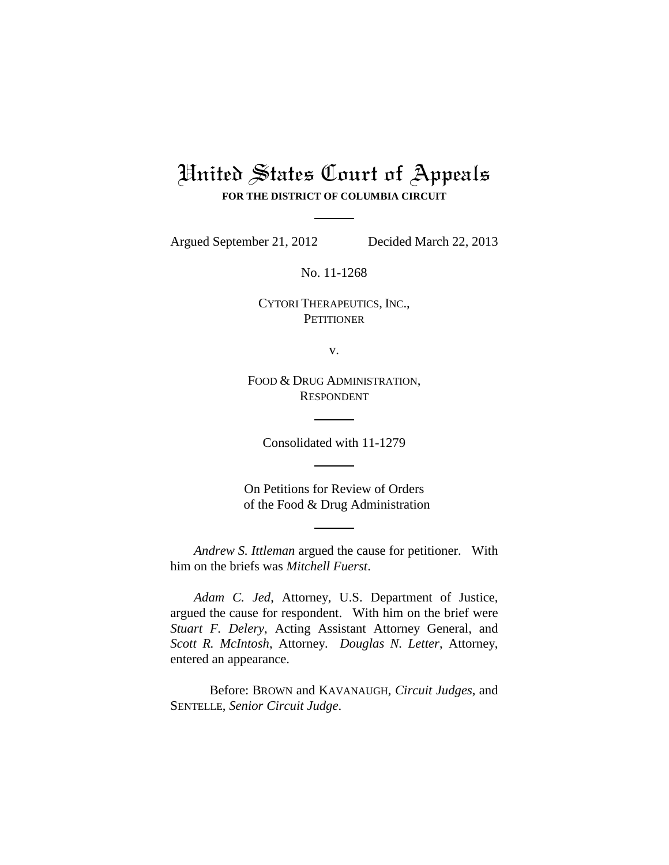## United States Court of Appeals **FOR THE DISTRICT OF COLUMBIA CIRCUIT**

Argued September 21, 2012 Decided March 22, 2013

No. 11-1268

CYTORI THERAPEUTICS, INC., **PETITIONER** 

v.

FOOD & DRUG ADMINISTRATION, RESPONDENT

Consolidated with 11-1279

On Petitions for Review of Orders of the Food & Drug Administration

*Andrew S. Ittleman* argued the cause for petitioner. With him on the briefs was *Mitchell Fuerst*.

*Adam C. Jed*, Attorney, U.S. Department of Justice, argued the cause for respondent. With him on the brief were *Stuart F. Delery*, Acting Assistant Attorney General, and *Scott R. McIntosh*, Attorney. *Douglas N. Letter*, Attorney, entered an appearance.

Before: BROWN and KAVANAUGH, *Circuit Judges*, and SENTELLE, *Senior Circuit Judge*.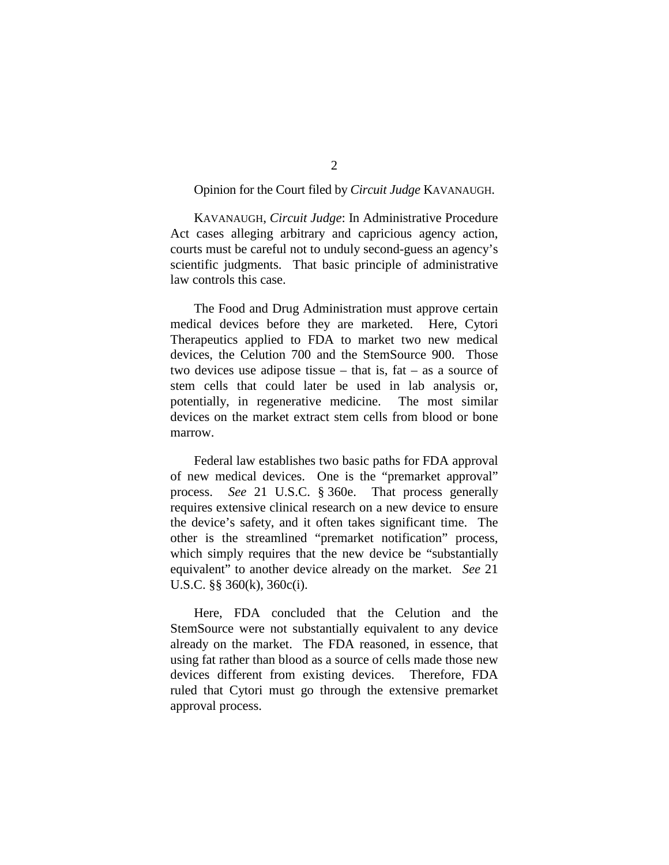## Opinion for the Court filed by *Circuit Judge* KAVANAUGH.

KAVANAUGH, *Circuit Judge*: In Administrative Procedure Act cases alleging arbitrary and capricious agency action, courts must be careful not to unduly second-guess an agency's scientific judgments. That basic principle of administrative law controls this case.

The Food and Drug Administration must approve certain medical devices before they are marketed. Here, Cytori Therapeutics applied to FDA to market two new medical devices, the Celution 700 and the StemSource 900. Those two devices use adipose tissue – that is, fat – as a source of stem cells that could later be used in lab analysis or, potentially, in regenerative medicine. The most similar devices on the market extract stem cells from blood or bone marrow.

Federal law establishes two basic paths for FDA approval of new medical devices. One is the "premarket approval" process. *See* 21 U.S.C. § 360e. That process generally requires extensive clinical research on a new device to ensure the device's safety, and it often takes significant time. The other is the streamlined "premarket notification" process, which simply requires that the new device be "substantially equivalent" to another device already on the market. *See* 21 U.S.C. §§ 360(k), 360c(i).

Here, FDA concluded that the Celution and the StemSource were not substantially equivalent to any device already on the market. The FDA reasoned, in essence, that using fat rather than blood as a source of cells made those new devices different from existing devices. Therefore, FDA ruled that Cytori must go through the extensive premarket approval process.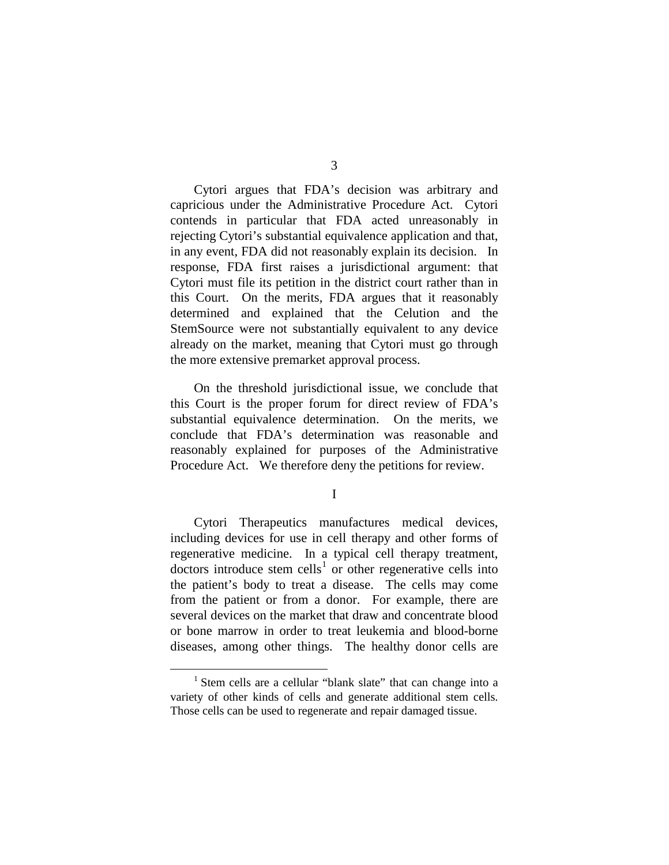Cytori argues that FDA's decision was arbitrary and capricious under the Administrative Procedure Act. Cytori contends in particular that FDA acted unreasonably in rejecting Cytori's substantial equivalence application and that, in any event, FDA did not reasonably explain its decision. In response, FDA first raises a jurisdictional argument: that Cytori must file its petition in the district court rather than in this Court. On the merits, FDA argues that it reasonably determined and explained that the Celution and the StemSource were not substantially equivalent to any device already on the market, meaning that Cytori must go through the more extensive premarket approval process.

On the threshold jurisdictional issue, we conclude that this Court is the proper forum for direct review of FDA's substantial equivalence determination. On the merits, we conclude that FDA's determination was reasonable and reasonably explained for purposes of the Administrative Procedure Act. We therefore deny the petitions for review.

I

Cytori Therapeutics manufactures medical devices, including devices for use in cell therapy and other forms of regenerative medicine. In a typical cell therapy treatment,  $dotors$  introduce stem cells<sup>[1](#page-2-0)</sup> or other regenerative cells into the patient's body to treat a disease. The cells may come from the patient or from a donor. For example, there are several devices on the market that draw and concentrate blood or bone marrow in order to treat leukemia and blood-borne diseases, among other things. The healthy donor cells are

<span id="page-2-0"></span><sup>&</sup>lt;sup>1</sup> Stem cells are a cellular "blank slate" that can change into a variety of other kinds of cells and generate additional stem cells. Those cells can be used to regenerate and repair damaged tissue.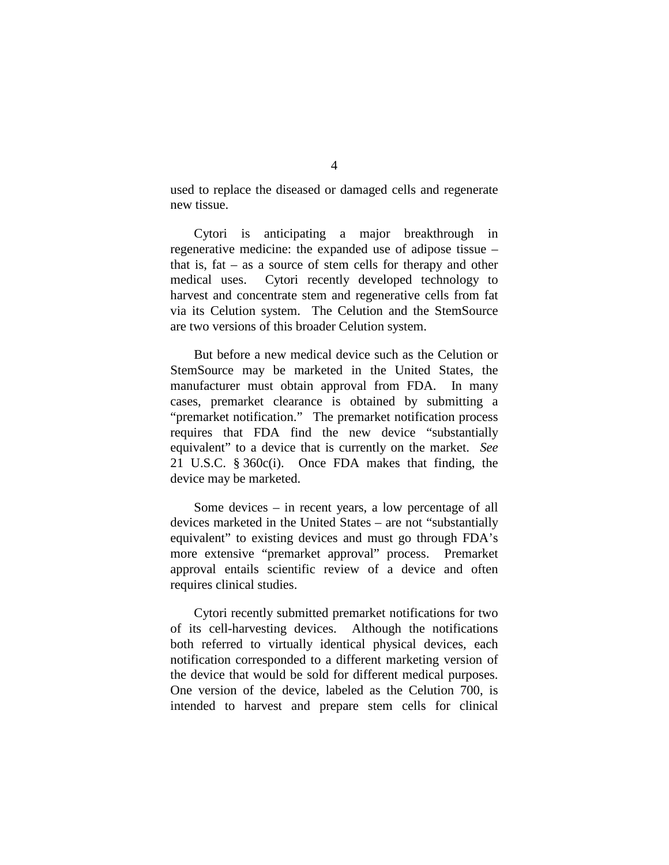used to replace the diseased or damaged cells and regenerate new tissue.

Cytori is anticipating a major breakthrough in regenerative medicine: the expanded use of adipose tissue – that is, fat – as a source of stem cells for therapy and other medical uses. Cytori recently developed technology to harvest and concentrate stem and regenerative cells from fat via its Celution system. The Celution and the StemSource are two versions of this broader Celution system.

But before a new medical device such as the Celution or StemSource may be marketed in the United States, the manufacturer must obtain approval from FDA. In many cases, premarket clearance is obtained by submitting a "premarket notification." The premarket notification process requires that FDA find the new device "substantially equivalent" to a device that is currently on the market. *See*  21 U.S.C. § 360c(i). Once FDA makes that finding, the device may be marketed.

Some devices – in recent years, a low percentage of all devices marketed in the United States – are not "substantially equivalent" to existing devices and must go through FDA's more extensive "premarket approval" process. Premarket approval entails scientific review of a device and often requires clinical studies.

Cytori recently submitted premarket notifications for two of its cell-harvesting devices. Although the notifications both referred to virtually identical physical devices, each notification corresponded to a different marketing version of the device that would be sold for different medical purposes. One version of the device, labeled as the Celution 700, is intended to harvest and prepare stem cells for clinical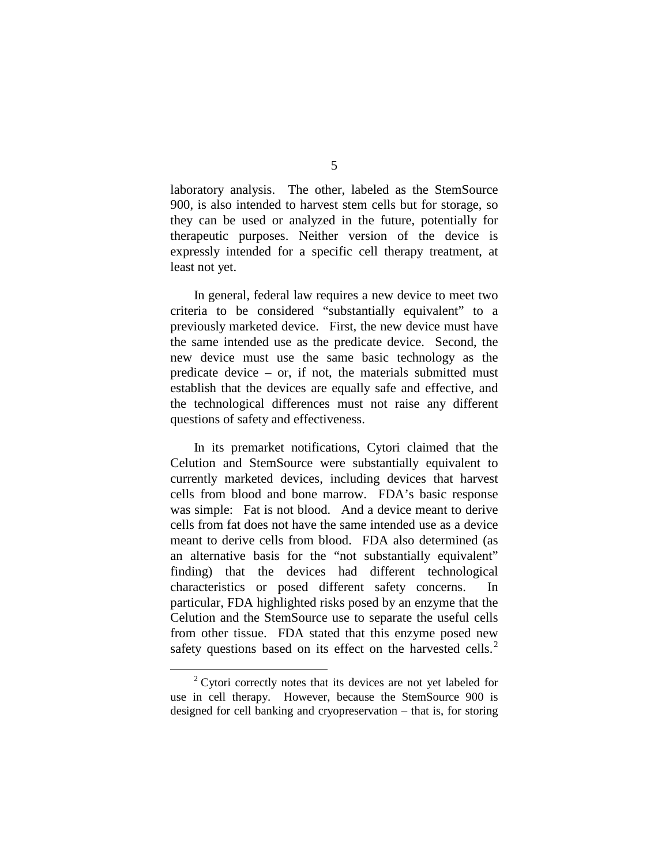laboratory analysis. The other, labeled as the StemSource 900, is also intended to harvest stem cells but for storage, so they can be used or analyzed in the future, potentially for therapeutic purposes. Neither version of the device is expressly intended for a specific cell therapy treatment, at least not yet.

In general, federal law requires a new device to meet two criteria to be considered "substantially equivalent" to a previously marketed device. First, the new device must have the same intended use as the predicate device. Second, the new device must use the same basic technology as the predicate device – or, if not, the materials submitted must establish that the devices are equally safe and effective, and the technological differences must not raise any different questions of safety and effectiveness.

In its premarket notifications, Cytori claimed that the Celution and StemSource were substantially equivalent to currently marketed devices, including devices that harvest cells from blood and bone marrow. FDA's basic response was simple: Fat is not blood. And a device meant to derive cells from fat does not have the same intended use as a device meant to derive cells from blood. FDA also determined (as an alternative basis for the "not substantially equivalent" finding) that the devices had different technological characteristics or posed different safety concerns. In particular, FDA highlighted risks posed by an enzyme that the Celution and the StemSource use to separate the useful cells from other tissue. FDA stated that this enzyme posed new safety questions based on its effect on the harvested cells. $<sup>2</sup>$  $<sup>2</sup>$  $<sup>2</sup>$ </sup>

<span id="page-4-0"></span> $2^{\circ}$  Cytori correctly notes that its devices are not yet labeled for use in cell therapy. However, because the StemSource 900 is designed for cell banking and cryopreservation – that is, for storing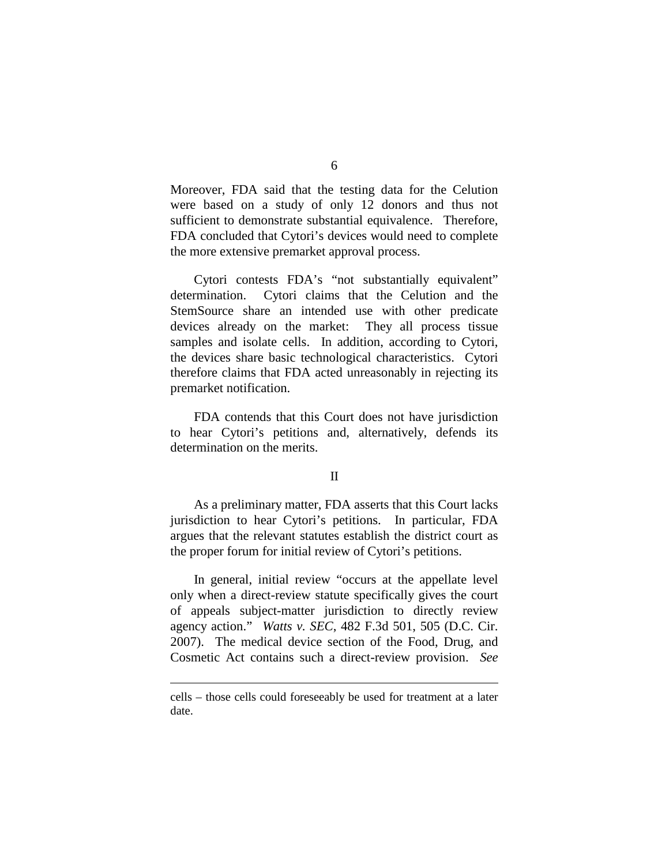Moreover, FDA said that the testing data for the Celution were based on a study of only 12 donors and thus not sufficient to demonstrate substantial equivalence. Therefore, FDA concluded that Cytori's devices would need to complete the more extensive premarket approval process.

Cytori contests FDA's "not substantially equivalent" determination. Cytori claims that the Celution and the StemSource share an intended use with other predicate devices already on the market: They all process tissue samples and isolate cells. In addition, according to Cytori, the devices share basic technological characteristics. Cytori therefore claims that FDA acted unreasonably in rejecting its premarket notification.

FDA contends that this Court does not have jurisdiction to hear Cytori's petitions and, alternatively, defends its determination on the merits.

## II

As a preliminary matter, FDA asserts that this Court lacks jurisdiction to hear Cytori's petitions. In particular, FDA argues that the relevant statutes establish the district court as the proper forum for initial review of Cytori's petitions.

In general, initial review "occurs at the appellate level only when a direct-review statute specifically gives the court of appeals subject-matter jurisdiction to directly review agency action." *Watts v. SEC*, 482 F.3d 501, 505 (D.C. Cir. 2007). The medical device section of the Food, Drug, and Cosmetic Act contains such a direct-review provision. *See* 

 $\overline{a}$ 

cells – those cells could foreseeably be used for treatment at a later date.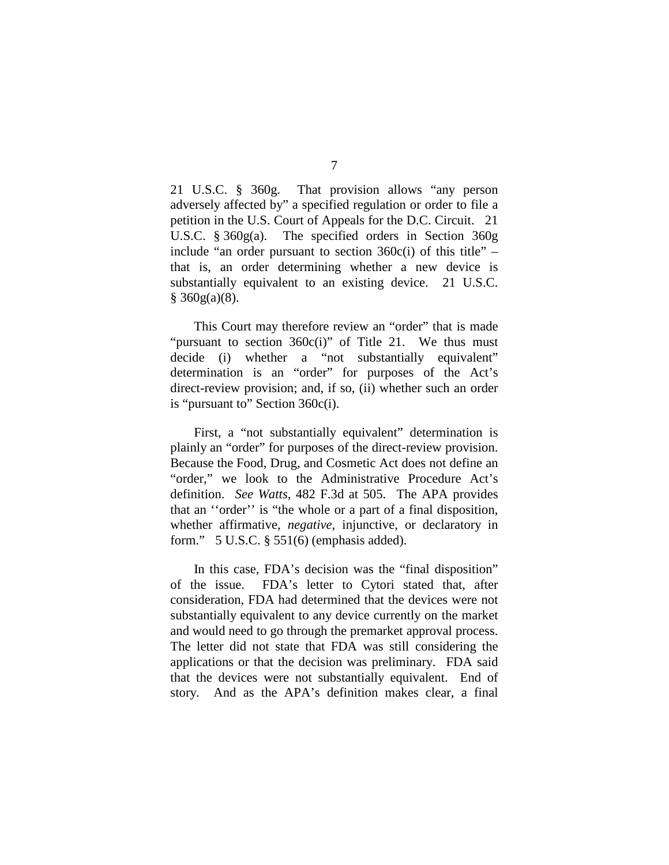21 U.S.C. § 360g. That provision allows "any person adversely affected by" a specified regulation or order to file a petition in the U.S. Court of Appeals for the D.C. Circuit. 21 U.S.C. § 360g(a). The specified orders in Section 360g include "an order pursuant to section  $360c(i)$  of this title" – that is, an order determining whether a new device is substantially equivalent to an existing device. 21 U.S.C.  $§$  360g(a)(8).

This Court may therefore review an "order" that is made "pursuant to section 360c(i)" of Title 21. We thus must decide (i) whether a "not substantially equivalent" determination is an "order" for purposes of the Act's direct-review provision; and, if so, (ii) whether such an order is "pursuant to" Section 360c(i).

First, a "not substantially equivalent" determination is plainly an "order" for purposes of the direct-review provision. Because the Food, Drug, and Cosmetic Act does not define an "order," we look to the Administrative Procedure Act's definition. *See Watts*, 482 F.3d at 505. The APA provides that an ''order'' is "the whole or a part of a final disposition, whether affirmative, *negative*, injunctive, or declaratory in form." 5 U.S.C. § 551(6) (emphasis added).

In this case, FDA's decision was the "final disposition" of the issue. FDA's letter to Cytori stated that, after consideration, FDA had determined that the devices were not substantially equivalent to any device currently on the market and would need to go through the premarket approval process. The letter did not state that FDA was still considering the applications or that the decision was preliminary. FDA said that the devices were not substantially equivalent. End of story. And as the APA's definition makes clear, a final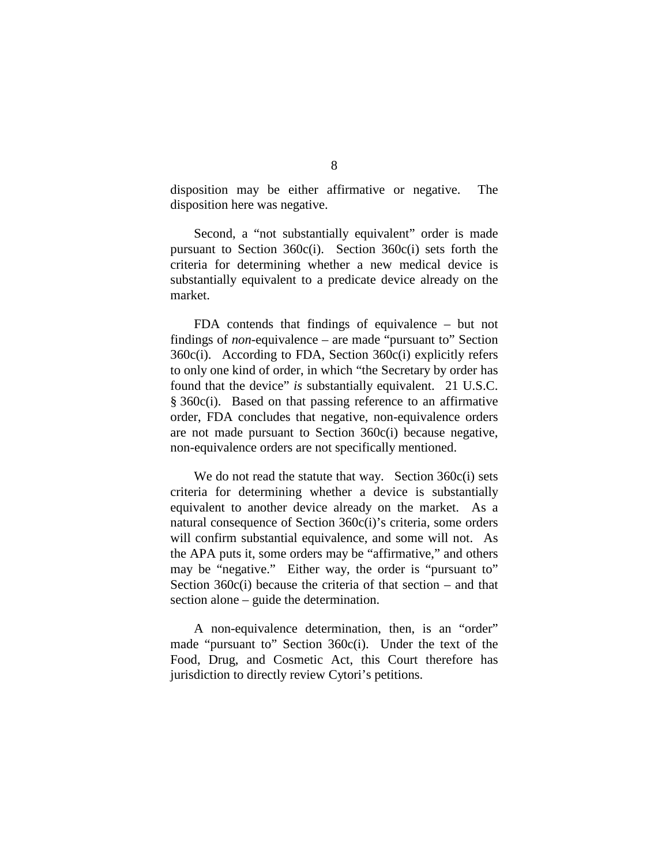disposition may be either affirmative or negative. The disposition here was negative.

Second, a "not substantially equivalent" order is made pursuant to Section 360c(i). Section 360c(i) sets forth the criteria for determining whether a new medical device is substantially equivalent to a predicate device already on the market.

FDA contends that findings of equivalence – but not findings of *non*-equivalence – are made "pursuant to" Section 360c(i). According to FDA, Section 360c(i) explicitly refers to only one kind of order, in which "the Secretary by order has found that the device" *is* substantially equivalent. 21 U.S.C. § 360c(i). Based on that passing reference to an affirmative order, FDA concludes that negative, non-equivalence orders are not made pursuant to Section 360c(i) because negative, non-equivalence orders are not specifically mentioned.

We do not read the statute that way. Section 360c(i) sets criteria for determining whether a device is substantially equivalent to another device already on the market. As a natural consequence of Section 360c(i)'s criteria, some orders will confirm substantial equivalence, and some will not. As the APA puts it, some orders may be "affirmative," and others may be "negative." Either way, the order is "pursuant to" Section  $360c(i)$  because the criteria of that section – and that section alone – guide the determination.

A non-equivalence determination, then, is an "order" made "pursuant to" Section 360c(i). Under the text of the Food, Drug, and Cosmetic Act, this Court therefore has jurisdiction to directly review Cytori's petitions.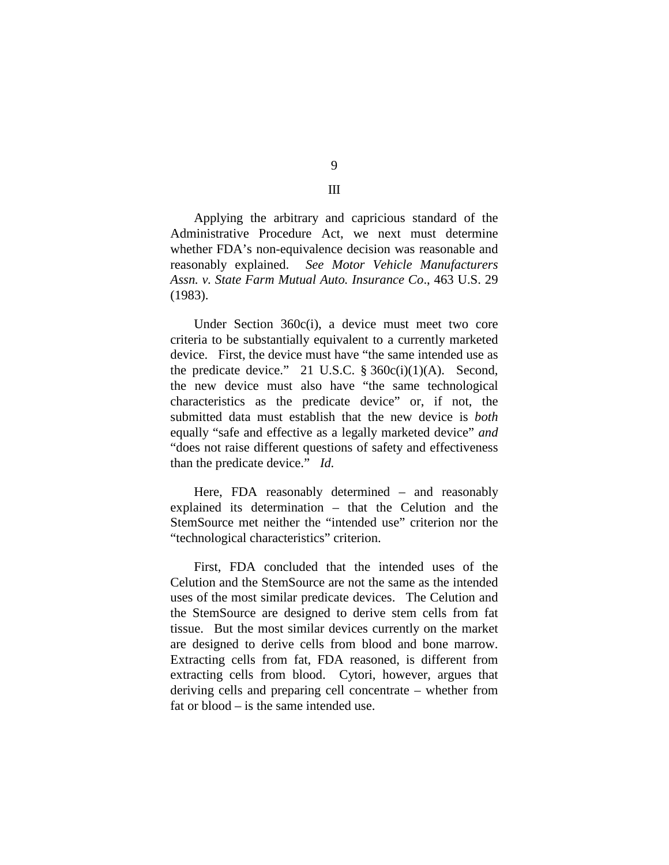Applying the arbitrary and capricious standard of the Administrative Procedure Act, we next must determine whether FDA's non-equivalence decision was reasonable and reasonably explained. *See Motor Vehicle Manufacturers Assn. v. State Farm Mutual Auto. Insurance Co*., 463 U.S. 29 (1983).

Under Section 360c(i), a device must meet two core criteria to be substantially equivalent to a currently marketed device. First, the device must have "the same intended use as the predicate device." 21 U.S.C.  $\S 360c(i)(1)(A)$ . Second, the new device must also have "the same technological characteristics as the predicate device" or, if not, the submitted data must establish that the new device is *both* equally "safe and effective as a legally marketed device" *and* "does not raise different questions of safety and effectiveness than the predicate device." *Id.* 

Here, FDA reasonably determined – and reasonably explained its determination – that the Celution and the StemSource met neither the "intended use" criterion nor the "technological characteristics" criterion.

First, FDA concluded that the intended uses of the Celution and the StemSource are not the same as the intended uses of the most similar predicate devices. The Celution and the StemSource are designed to derive stem cells from fat tissue. But the most similar devices currently on the market are designed to derive cells from blood and bone marrow. Extracting cells from fat, FDA reasoned, is different from extracting cells from blood. Cytori, however, argues that deriving cells and preparing cell concentrate – whether from fat or blood – is the same intended use.

9 III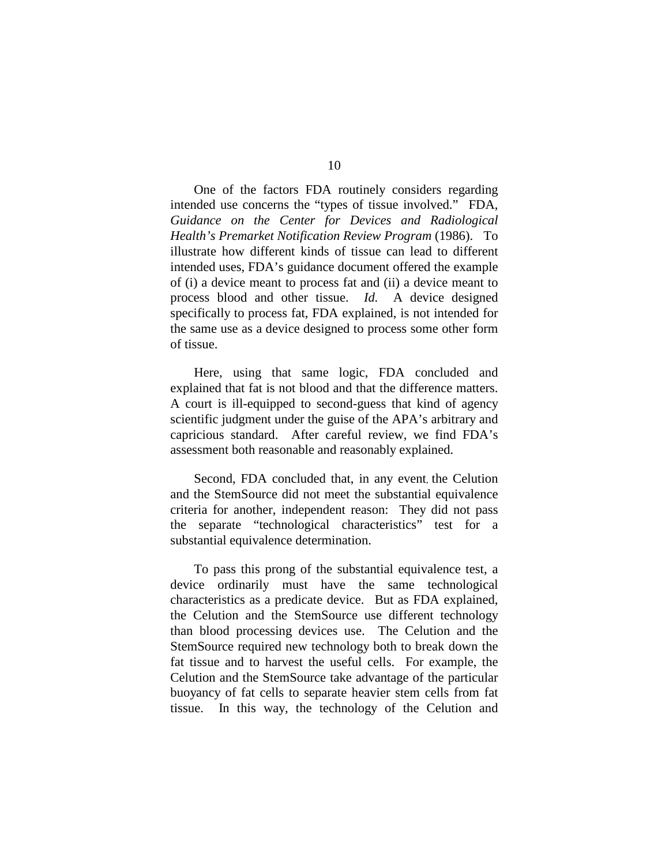One of the factors FDA routinely considers regarding intended use concerns the "types of tissue involved." FDA, *Guidance on the Center for Devices and Radiological Health's Premarket Notification Review Program* (1986). To illustrate how different kinds of tissue can lead to different intended uses, FDA's guidance document offered the example of (i) a device meant to process fat and (ii) a device meant to process blood and other tissue. *Id.* A device designed specifically to process fat, FDA explained, is not intended for the same use as a device designed to process some other form of tissue.

Here, using that same logic, FDA concluded and explained that fat is not blood and that the difference matters. A court is ill-equipped to second-guess that kind of agency scientific judgment under the guise of the APA's arbitrary and capricious standard. After careful review, we find FDA's assessment both reasonable and reasonably explained.

Second, FDA concluded that, in any event, the Celution and the StemSource did not meet the substantial equivalence criteria for another, independent reason: They did not pass the separate "technological characteristics" test for a substantial equivalence determination.

To pass this prong of the substantial equivalence test, a device ordinarily must have the same technological characteristics as a predicate device. But as FDA explained, the Celution and the StemSource use different technology than blood processing devices use. The Celution and the StemSource required new technology both to break down the fat tissue and to harvest the useful cells. For example, the Celution and the StemSource take advantage of the particular buoyancy of fat cells to separate heavier stem cells from fat tissue. In this way, the technology of the Celution and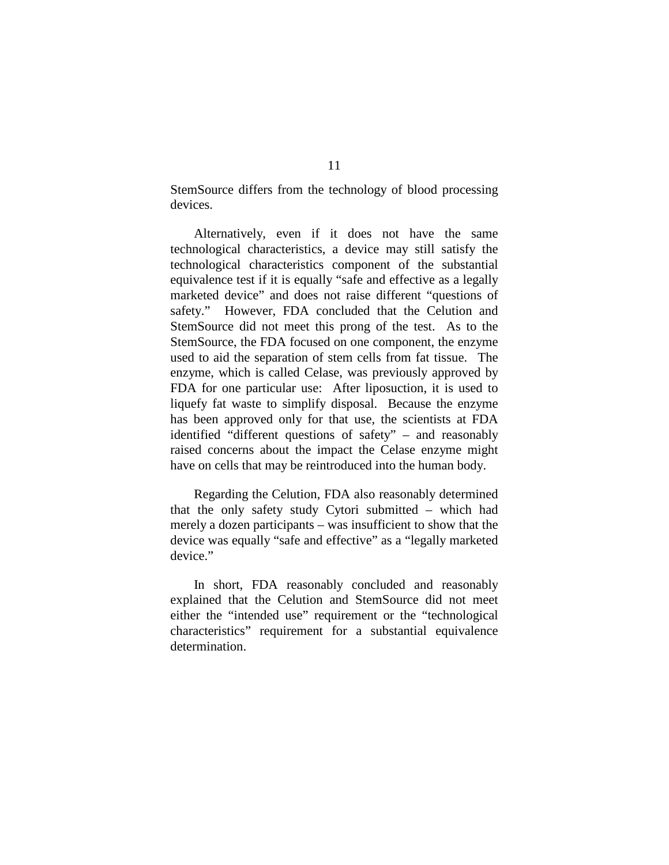StemSource differs from the technology of blood processing devices.

Alternatively, even if it does not have the same technological characteristics, a device may still satisfy the technological characteristics component of the substantial equivalence test if it is equally "safe and effective as a legally marketed device" and does not raise different "questions of safety." However, FDA concluded that the Celution and StemSource did not meet this prong of the test. As to the StemSource, the FDA focused on one component, the enzyme used to aid the separation of stem cells from fat tissue. The enzyme, which is called Celase, was previously approved by FDA for one particular use: After liposuction, it is used to liquefy fat waste to simplify disposal. Because the enzyme has been approved only for that use, the scientists at FDA identified "different questions of safety" – and reasonably raised concerns about the impact the Celase enzyme might have on cells that may be reintroduced into the human body.

Regarding the Celution, FDA also reasonably determined that the only safety study Cytori submitted – which had merely a dozen participants – was insufficient to show that the device was equally "safe and effective" as a "legally marketed device."

In short, FDA reasonably concluded and reasonably explained that the Celution and StemSource did not meet either the "intended use" requirement or the "technological characteristics" requirement for a substantial equivalence determination.